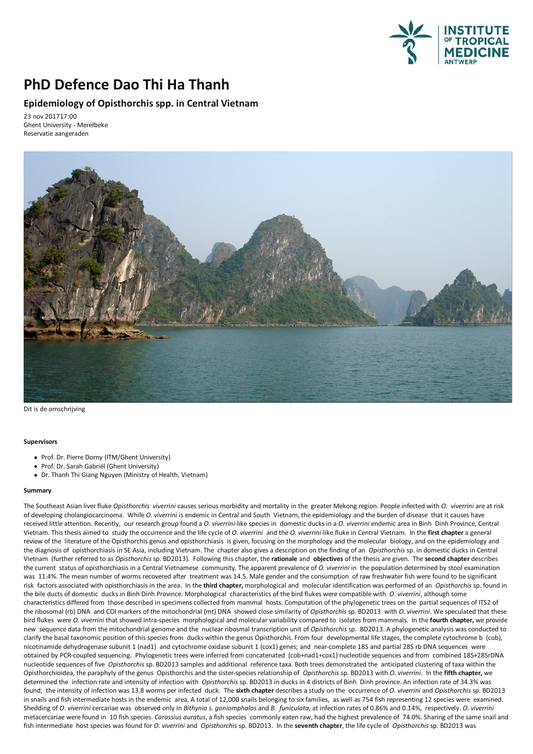

## **PhD Defence Dao Thi Ha Thanh**

## **Epidemiology of Opisthorchis spp. in Central Vietnam**

23 nov 201717:00 Ghent University - Merelbeke Reservatie aangeraden



Dit is de omschrijving

## **Supervisors**

- Prof. Dr. Pierre Dorny (ITM/Ghent University)
- Prof. Dr.Sarah Gabriël (Ghent University)
- Dr.Thanh Thi Giang Nguyen (Ministry of Health, Vietnam)

## **Summary**

The Southeast Asian liver fluke *Opisthorchis viverrini* causes serious morbidity and mortality in the greater Mekong region. People infected with *O. viverrini* are at risk of developing cholangiocarcinoma. While *O.viverrini* is endemic in Central and South Vietnam, the epidemiology and the burden of disease that it causes have received little attention. Recently, our research group found a *O.viverrini*-like species in domestic ducks in a *O.viverrini* endemicareain Binh Dinh Province, Central Vietnam.This thesisaimed to study the occurrence and the life cycle of *O.viverrini* and the *O.viverrini*-like fluke in Central Vietnam. In the **first chapter**ageneral review of the literature of the Opisthorchis genus and opisthorchiasis is given, focusing on the morphology and the molecular biology, and on the epidemiology and the diagnosis of opisthorchiasis in SE Asia, including Vietnam.The chapteralso givesa description on the finding ofan *Opisthorchis* sp. in domestic ducks in Central Vietnam (further referred to as *Opisthorchis* sp. BD2013). Following this chapter, the **rationale** and **objectives** of the thesisare given. The **second chapter** describes the current status of opisthorchiasis in a Central Vietnamese community. The apparent prevalence of *O. viverrini* in the population determined by stool examination<br>was 11.4%. The mean number of worms recovered after treat risk factors associated with opisthorchiasis in the area. In the third chapter, morphological and molecular identification was performed of an *Opisthorchis* sp. found in the bile ducts of domestic ducks in Binh Dinh Province. Morphological characteristics of the bird flukes were compatible with *O.viverrini*,although some characteristics differed from those described in specimens collected from mammal hosts. Computation of the phylogenetic trees on the partial sequences of ITS2 of the ribosomal (rb) DNA and COI markers of the mitochondrial (mt) DNA showed close similarity of *Opisthorchis* sp. BD2013 with *O.viverrini*. We speculated that these bird flukes were *O. viverrini* that showed intra-species morphological and molecular variability compared to isolates from mammals. In the **fourth chapter,** we provide new sequence datafrom the mitochondrial genome and the nuclear ribosmal transcription unit of *Opisthorchis* sp. BD2013. A phylogeneticanalysis was conducted to clarify the basal taxonomic position of this species from ducks within the genus Opisthorchis. From four developmental life stages, the complete cytochrome b (cob), nicotinamide dehydrogenase subunit 1 (nad1) and cytochrome oxidase subunit 1 (cox1)genes; and near-complete 18S and partial 28S rb DNA sequences were obtained by PCR-coupled sequencing. Phylogenetic trees were inferred from concatenated (cob+nad1+cox1) nucleotide sequences and from combined 18S+28SrDNA nucleotide sequences and from combined 18S+28SrDNA Opisthorchioidea, the paraphyly of the genus Opisthorchis and the sister-species relationship of Opisthorchis sp. BD2013 with O. viverrini. In the fifth chapter, we determined the infection rate and intensity of infection with *Opisthorchis* sp. BD2013 in ducks in 4 districts of Binh Dinh province. An infection rate of 34.3% was found; the intensity of infection was 13.8 worms per infected duck. The **sixth chapter** describesastudy on the occurrence of *O.viverrini* and *Opisthorchis* sp. BD2013 in snails and fish intermediate hosts in the endemic area. A total of 12,000 snails belonging to six families, as well as 754 fish representing 12 species were examined. Shedding of O. viverrini cercariae was observed only in Bithynia s. goniomphalos and B. funiculata, at infection rates of 0.86% and 0.14%, respectively. O. viverrini cercariae were found in 10 fish species. Carassius aurat fish intermediate host species was found for *O.viverrini* and *Opisthorchis* sp. BD2013. In the **seventh chapter**, the life cycle of *Opisthorchis* sp. BD2013 was